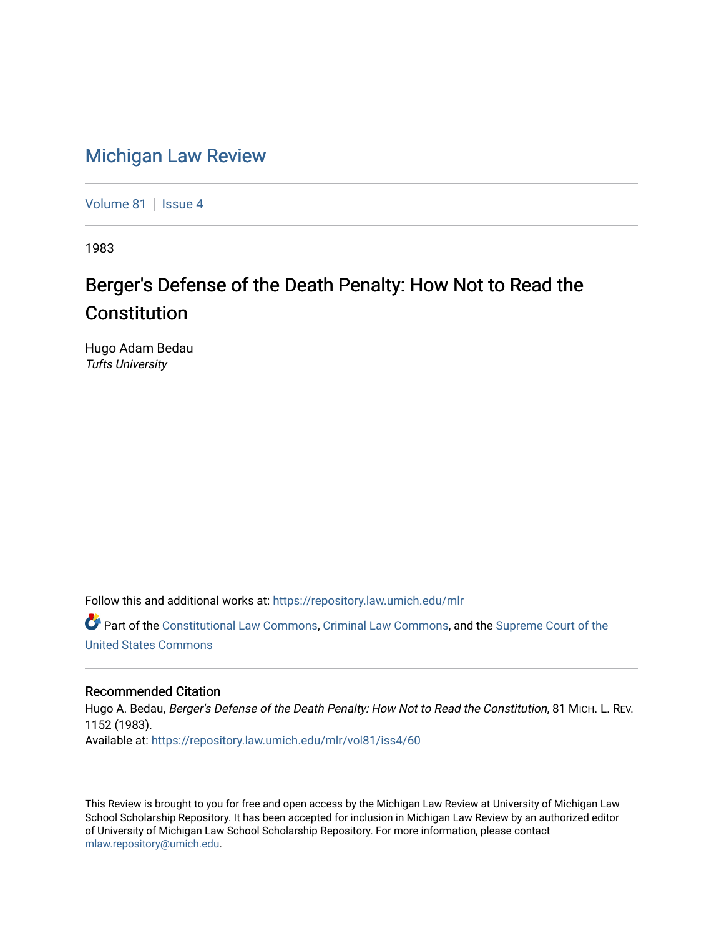## [Michigan Law Review](https://repository.law.umich.edu/mlr)

[Volume 81](https://repository.law.umich.edu/mlr/vol81) | [Issue 4](https://repository.law.umich.edu/mlr/vol81/iss4)

1983

# Berger's Defense of the Death Penalty: How Not to Read the Constitution

Hugo Adam Bedau Tufts University

Follow this and additional works at: [https://repository.law.umich.edu/mlr](https://repository.law.umich.edu/mlr?utm_source=repository.law.umich.edu%2Fmlr%2Fvol81%2Fiss4%2F60&utm_medium=PDF&utm_campaign=PDFCoverPages) 

Part of the [Constitutional Law Commons,](http://network.bepress.com/hgg/discipline/589?utm_source=repository.law.umich.edu%2Fmlr%2Fvol81%2Fiss4%2F60&utm_medium=PDF&utm_campaign=PDFCoverPages) [Criminal Law Commons,](http://network.bepress.com/hgg/discipline/912?utm_source=repository.law.umich.edu%2Fmlr%2Fvol81%2Fiss4%2F60&utm_medium=PDF&utm_campaign=PDFCoverPages) and the Supreme Court of the [United States Commons](http://network.bepress.com/hgg/discipline/1350?utm_source=repository.law.umich.edu%2Fmlr%2Fvol81%2Fiss4%2F60&utm_medium=PDF&utm_campaign=PDFCoverPages) 

### Recommended Citation

Hugo A. Bedau, Berger's Defense of the Death Penalty: How Not to Read the Constitution, 81 MICH. L. REV. 1152 (1983). Available at: [https://repository.law.umich.edu/mlr/vol81/iss4/60](https://repository.law.umich.edu/mlr/vol81/iss4/60?utm_source=repository.law.umich.edu%2Fmlr%2Fvol81%2Fiss4%2F60&utm_medium=PDF&utm_campaign=PDFCoverPages) 

This Review is brought to you for free and open access by the Michigan Law Review at University of Michigan Law School Scholarship Repository. It has been accepted for inclusion in Michigan Law Review by an authorized editor of University of Michigan Law School Scholarship Repository. For more information, please contact [mlaw.repository@umich.edu.](mailto:mlaw.repository@umich.edu)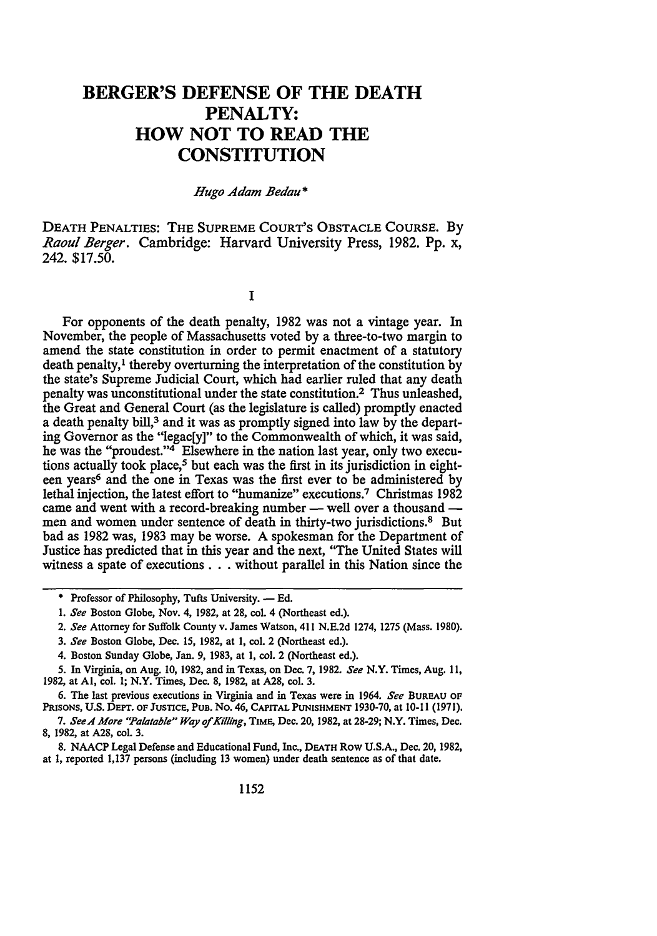### **BERGER'S DEFENSE OF THE DEATH PENALTY: HOW NOT TO READ THE CONSTITUTION**

#### *Hugo Adam Bedau\**

DEATH PENALTIES: THE SUPREME COURT'S OBSTACLE COURSE. By *Raoul Berger.* Cambridge: Harvard University Press, 1982. Pp. x, 242. \$17 .50.

I

For opponents of the death penalty, 1982 was not a vintage year. In November, the people of Massachusetts voted by a three-to-two margin to amend the state constitution in order to permit enactment of a statutory death penalty,<sup>1</sup> thereby overturning the interpretation of the constitution by the state's Supreme Judicial Court, which had earlier ruled that any death penalty was unconstitutional under the state constitution.2 Thus unleashed, the Great and General Court (as the legislature is called) promptly enacted a death penalty bill,<sup>3</sup> and it was as promptly signed into law by the departing Governor as the "legac[y]" to the Commonwealth of which, it was said, he was the "proudest."4 Elsewhere in the nation last year, only two executions actually took place,<sup>5</sup> but each was the first in its jurisdiction in eighteen years<sup>6</sup> and the one in Texas was the first ever to be administered by lethal injection, the latest effort to "humanize" executions.7 Christmas 1982 came and went with a record-breaking number  $-$  well over a thousand  $$ men and women under sentence of death in thirty-two jurisdictions.<sup>8</sup> But bad as 1982 was, 1983 may be worse. A spokesman for the Department of Justice has predicted that in this year and the next, "The United States will witness a spate of executions . . . without parallel in this Nation since the

- 2. *See* Attorney for Suffolk County v. James Watson, 411 N.E.2d 1274, 1275 (Mass. 1980).
- 3. *See* Boston Globe, Dec. 15, 1982, at 1, col. 2 (Northeast ed.).
- 4. Boston Sunday Globe, Jan. 9, 1983, at 1, col. 2 (Northeast ed.).

*5.* In Virginia, on Aug. 10, 1982, and in Texas, on Dec. 7, 1982. *See* **N.Y.** Times, Aug. 11, 1982, at Al, col. 1; N.Y. Times, Dec. 8, 1982, at A28, col. 3.

6. The last previous executions in Virginia and in Texas were in 1964. *See* BUREAU OF PRISONS, U.S. DEPT. OF JUSTICE, PUB. No. 46, CAPITAL PUNISHMENT 1930-70, at 10-11 (1971).

7. *See A More "Palatable" Way of Killing,* TIME, Dec. 20, 1982, at 28-29; **N.Y.** Times, Dec. 8, 1982, at A28, col. 3.

8. NAACP Legal Defense and Educational Fund, Inc., DEATH Row U.S.A., Dec. 20, 1982, at 1, reported 1,137 persons (including 13 women) under death sentence as of that date.

<sup>\*</sup> Professor of Philosophy, Tufts University. - Ed.

l. *See* Boston Globe, Nov. 4, 1982, at 28, col. 4 (Northeast ed.).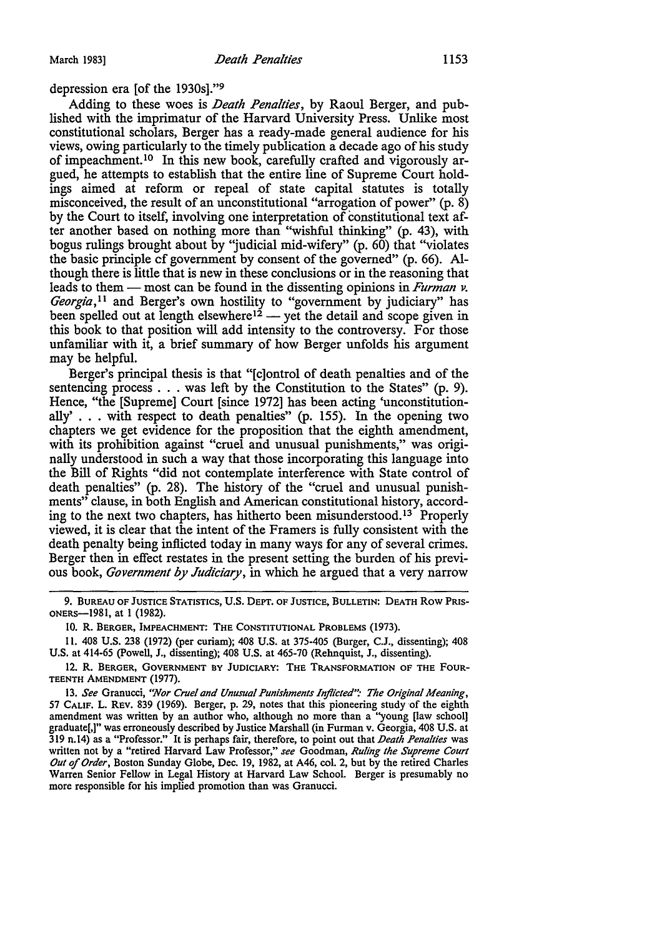depression era [of the 1930s]."<sup>9</sup>

Adding to these woes is *Death Penalties*, by Raoul Berger, and published with the imprimatur of the Harvard University Press. Unlike most constitutional scholars, Berger has a ready-made general audience for his views, owing particularly to the timely publication a decade ago of his study of impeachment.10 In this new book, carefully crafted and vigorously argued, he attempts to establish that the entire line of Supreme Court holdings aimed at reform or repeal of state capital statutes is totally misconceived, the result of an unconstitutional "arrogation of power" (p. 8) by the Court to itself, involving one interpretation of constitutional text after another based on nothing more than "wishful thinking" (p. 43), with bogus rulings brought about by "judicial mid-wifery" (p. 60) that "violates the basic principle cf government by consent of the governed" (p. 66). Although there is little that is new in these conclusions or in the reasoning that leads to them — most can be found in the dissenting opinions in *Furman v*. *Georgia,* 11 and Berger's own hostility to "government by judiciary" has been spelled out at length elsewhere<sup>12</sup> - yet the detail and scope given in this book to that position will add intensity to the controversy. For those unfamiliar with it, a brief summary of how Berger unfolds his argument may be helpful.

Berger's principal thesis is that "[c]ontrol of death penalties and of the sentencing process . . . was left by the Constitution to the States" (p. 9). Hence, "the [Supreme] Court [since 1972] has been acting 'unconstitutionally' ... with respect to death penalties" (p. 155). In the opening two chapters we get evidence for the proposition that the eighth amendment, with its prohibition against "cruel and unusual punishments," was originally understood in such a way that those incorporating this language into the Bill of Rights "did not contemplate interference with State control of death penalties" (p. 28). The history of the "cruel and unusual punishments" clause, in both English and American constitutional history, according to the next two chapters, has hitherto been misunderstood.<sup>13</sup> Properly viewed, it is clear that the intent of the Framers is fully consistent with the death penalty being inflicted today in many ways for any of several crimes. Berger then in effect restates in the present setting the burden of his previous book, *Government* by *Judiciary,* in which he argued that a very narrow

9. BUREAU OF JUSTICE STATISTICS, U.S. DEPT. OF JUSTICE, BULLETIN: DEATH Row PRIS-ONERs-1981, at 1 (1982).

10. R. BERGER, IMPEACHMENT: THE CONSTITUTIONAL PROBLEMS (1973).

11. 408 U.S. 238 (1972) (per curiam); 408 U.S. at 375-405 (Burger, C.J., dissenting); 408 U.S. at 414-65 (Powell, J., dissenting); 408 U.S. at 465-70 (Rehnquist, J., dissenting).

12. R. BERGER, GOVERNMENT BY JUDICIARY: THE TRANSFORMATION OF THE FOUR-TEENTH AMENDMENT (1977).

13. See Granucci, "Nor Cruel and Unusual Punishments Inflicted": The Original Meaning, 57 CALIF. L. REV. 839 (1969). Berger, p. 29, notes that this pioneering study of the eighth amendment was written by an author who, although no more than a ''young [law school] graduate[,]" was erroneously described by Justice Marshall (in Furman v. Georgia, 408 U.S. at 319 n.14) as a "Professor." It is perhaps fair, therefore, to point out that *Death Penalties* was written not by a "retired Harvard Law Professor," *see* Goodman, *Ruling the Supreme Court Out of Order,* Boston Sunday Globe, Dec. 19, 1982, at A46, col. 2, but by the retired Charles Warren Senior Fellow in Legal History at Harvard Law School. Berger is presumably no more responsible for his implied promotion than was Granucci.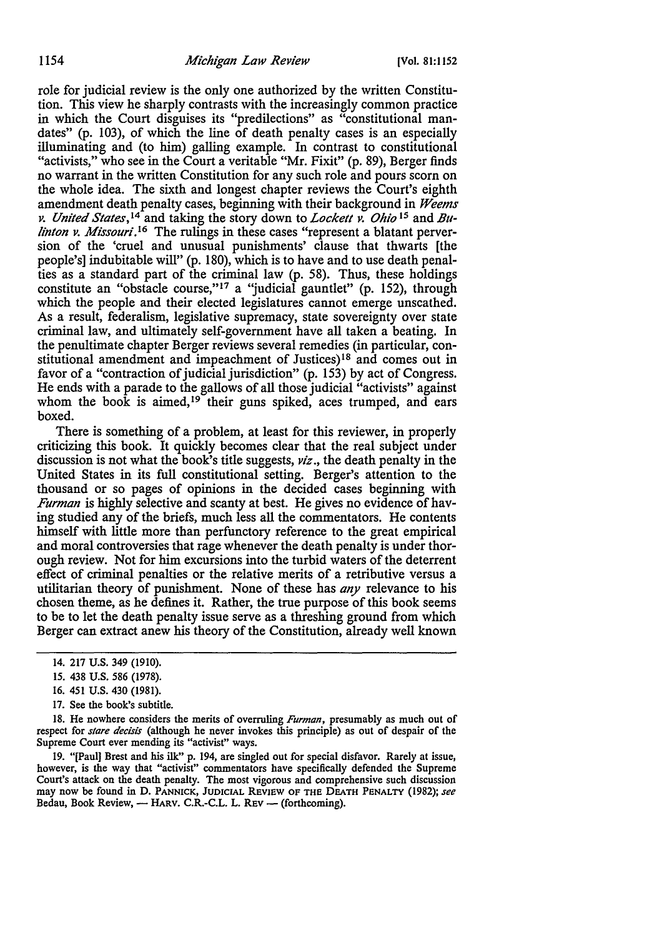role for judicial review is the only one authorized by the written Constitution. This view he sharply contrasts with the increasingly common practice in which the Court disguises its "predilections" as "constitutional mandates" (p. 103), of which the line of death penalty cases is an especially illuminating and (to him) galling example. In contrast to constitutional "activists," who see in the Court a veritable **"Mr.** Fixit" (p. 89), Berger finds no warrant in the written Constitution for any such role and pours scorn on the whole idea. The sixth and longest chapter reviews the Court's eighth amendment death penalty cases, beginning with their background in *Weems v. United States*,<sup>14</sup> and taking the story down to *Lockett v. Ohio*<sup>15</sup> and *Bulinton v. Missouri*.<sup>16</sup> The rulings in these cases "represent a blatant perversion of the 'cruel and unusual punishments' clause that thwarts [the people's] indubitable will" (p. 180), which is to have and to use death penalties as a standard part of the criminal law (p. 58). Thus, these holdings constitute an "obstacle course,"<sup>17</sup> a "judicial gauntlet" (p. 152), through which the people and their elected legislatures cannot emerge unscathed. As a result, federalism, legislative supremacy, state sovereignty over state criminal law, and ultimately self-government have all taken a beating. In the penultimate chapter Berger reviews several remedies (in particular, constitutional amendment and impeachment of Justices)<sup>18</sup> and comes out in favor of a "contraction of judicial jurisdiction" (p. 153) by act of Congress. He ends with a parade to the gallows of all those judicial "activists" against whom the book is aimed,  $19$  their guns spiked, aces trumped, and ears boxed.

There is something of a problem, at least for this reviewer, in properly criticizing this book. It quickly becomes clear that the real subject under discussion is not what the book's title suggests, *viz.,* the death penalty in the United States in its full constitutional setting. Berger's attention to the thousand or so pages of opinions in the decided cases beginning with *Furman* is highly selective and scanty at best. He gives no evidence of having studied any of the briefs, much less all the commentators. He contents himself with little more than perfunctory reference to the great empirical and moral controversies that rage whenever the death penalty is under thorough review. Not for him excursions into the turbid waters of the deterrent effect of criminal penalties or the relative merits of a retributive versus a utilitarian theory of punishment. None of these has *any* relevance to his chosen theme, as he defines it. Rather, the true purpose of this book seems to be to let the death penalty issue serve as a threshing ground from which Berger can extract anew his theory of the Constitution, already well known

18. He nowhere considers the merits of overruling *Furman,* presumably as much out of respect for *stare decisis* (although he never invokes this principle) as out of despair of the Supreme Court ever mending its "activist" ways.

19. "[Paul] Brest and his ilk" p. 194, are singled out for special disfavor. Rarely at issue, however, is the way that "activist" commentators have specifically defended the Supreme Court's attack on the death penalty. The most vigorous and comprehensive such discussion may now be found in D. PANNICK, JUDICIAL REVIEW OF THE DEATH PENALTY (1982); *see*  Bedau, Book Review, - HARV. C.R.-C.L. L. REV - (forthcoming).

<sup>14. 217</sup> U.S. 349 (1910).

<sup>15. 438</sup> U.S. 586 (1978).

<sup>16. 451</sup> U.S. 430 (1981).

<sup>17.</sup> See the book's subtitle.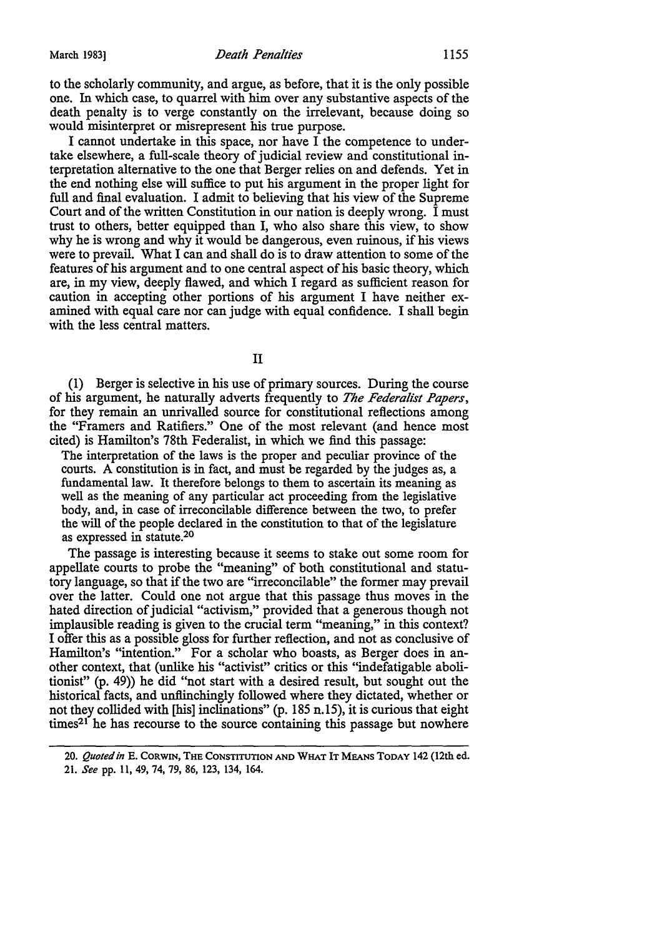to the scholarly community, and argue, as before, that it is the only possible one. In which case, to quarrel with him over any substantive aspects of the death penalty is to verge constantly on the irrelevant, because doing so would misinterpret or misrepresent his true purpose.

I cannot undertake in this space, nor have I the competence to undertake elsewhere, a full-scale theory of judicial review and constitutional interpretation alternative to the one that Berger relies on and defends. Yet in the end nothing else will suffice to put his argument in the proper light for full and final evaluation. I admit to believing that his view of the Supreme Court and of the written Constitution in our nation is deeply wrong. I must trust to others, better equipped than I, who also share this view, to show why he is wrong and why it would be dangerous, even ruinous, if his views were to prevail. What I can and shall do is to draw attention to some of the features of his argument and to one central aspect of his basic theory, which are, in my view, deeply flawed, and which I regard as sufficient reason for caution in accepting other portions of his argument I have neither examined with equal care nor can judge with equal confidence. I shall begin with the less central matters.

II

(1) Berger is selective in his use of primary sources. During the course of his argument, he naturally adverts frequently to *The Federalist Papers,*  for they remain an unrivalled source for constitutional reflections among the "Framers and Ratifiers." One of the most relevant (and hence most cited) is Hamilton's 78th Federalist, in which we find this passage:

The interpretation of the laws is the proper and peculiar province of the courts. A constitution is in fact, and must be regarded by the judges as, a fundamental law. It therefore belongs to them to ascertain its meaning as well as the meaning of any particular act proceeding from the legislative body, and, in case of irreconcilable difference between the two, to prefer the will of the people declared in the constitution to that of the legislature as expressed in statute.20

The passage is interesting because it seems to stake out some room for appellate courts to probe the "meaning" of both constitutional and statutory language, so that if the two are "irreconcilable" the former may prevail over the latter. Could one not argue that this passage thus moves in the hated direction of judicial "activism," provided that a generous though not implausible reading is given to the crucial term "meaning," in this context? I offer this as a possible gloss for further reflection, and not as conclusive of Hamilton's "intention." For a scholar who boasts, as Berger does in another context, that (unlike his "activist" critics or this "indefatigable abolitionist" (p. 49)) he did "not start with a desired result, but sought out the historical facts, and unflinchingly followed where they dictated, whether or not they collided with [his] inclinations" (p. 185 n.15), it is curious that eight times<sup>21</sup> he has recourse to the source containing this passage but nowhere

<sup>20.</sup> *Quoted in* E. CORWIN, THE CONSTITUTION AND WHAT IT MEANS TODAY 142 (12th ed. 21. *See* pp. 11, 49, 74, 79, 86, 123, 134, 164.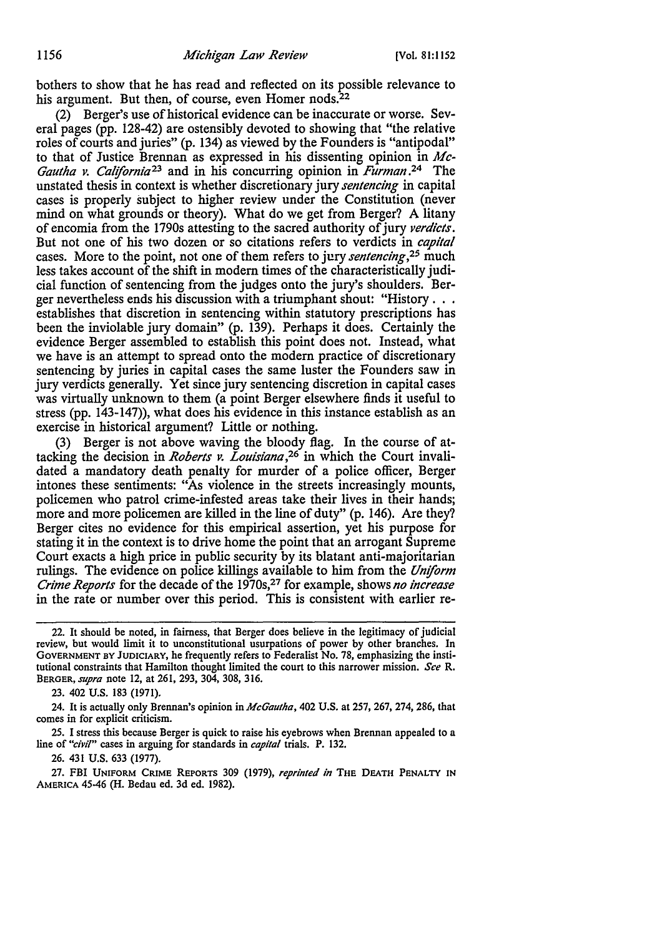bothers to show that he has read and reflected on its possible relevance to his argument. But then, of course, even Homer nods.<sup>22</sup>

(2) Berger's use of historical evidence can be inaccurate or worse. Several pages (pp. 128-42) are ostensibly devoted to showing that "the relative roles of courts and juries" (p. 134) as viewed by the Founders is "antipodal" to that of Justice Brennan as expressed in his dissenting opinion in *Mc-Gautha v. Cal!fornia23* and in his concurring opinion in *Furman* . 24 The unstated thesis in context is whether discretionary jury *sentencing* in capital cases is properly subject to higher review under the Constitution (never mind on what grounds or theory). What do we get from Berger? A litany of encomia from the 1790s attesting to the sacred authority of jury *verdicts.*  But not one of his two dozen or so citations refers to verdicts in *capital*  cases. More to the point, not one of them refers to jury *sentencing,25* much less takes account of the shift in modem times of the characteristically judicial function of sentencing from the judges onto the jury's shoulders. Berger nevertheless ends his discussion with a triumphant shout: "History . . . establishes that discretion in sentencing within statutory prescriptions has been the inviolable jury domain" (p. 139). Perhaps it does. Certainly the evidence Berger assembled to establish this point does not. Instead, what we have is an attempt to spread onto the modem practice of discretionary sentencing by juries in capital cases the same luster the Founders saw in jury verdicts generally. Yet since jury sentencing discretion in capital cases was virtually unknown to them (a point Berger elsewhere finds it useful to stress (pp. 143-147)), what does his evidence in this instance establish as an exercise in historical argument? Little or nothing.

(3) Berger is not above waving the bloody flag. In the course of attacking the decision in *Roberts v. Louisiana,26* in which the Court invalidated a mandatory death penalty for murder of a police officer, Berger intones these sentiments: "As violence in the streets increasingly mounts, policemen who patrol crime-infested areas take their lives in their hands; more and more policemen are killed in the line of duty" (p. 146). Are they? Berger cites no evidence for this empirical assertion, yet his purpose for stating it in the context is to drive home the point that an arrogant Supreme Court exacts a high price in public security by its blatant anti-majoritarian rulings. The evidence on police killings available to him from the *Uniform Crime Reports* for the decade of the 1970s, 27 for example, shows *no increase*  in the rate or number over this period. This is consistent with earlier re-

26. 431 U.S. 633 (1977).

27. FBI UNIFORM CRIME REPORTS 309 (1979), *reprinted in* THE DEATH PENALTY IN AMERICA 45-46 (H. Bedau ed. 3d ed. 1982).

<sup>22.</sup> It should be noted, in fairness, that Berger does believe in the legitimacy of judicial review, but would limit it to unconstitutional usurpations of power by other branches. In GOVERNMENT BY JUDICIARY, he frequently refers to Federalist No. 78, emphasizing the institutional constraints that Hamilton thought limited the court to this narrower mission. *See* R. BERGER, *supra* note 12, at 261, 293, 304, 308, 316.

<sup>23. 402</sup> U.S. 183 (1971).

<sup>24.</sup> It is actually only Brennan's opinion in *McGautha,* 402 U.S. at 257, 267, 274, 286, that comes in for explicit criticism.

<sup>25.</sup> I stress this because Berger is quick to raise his eyebrows when Brennan appealed to a line of *"civil"* cases in arguing for standards in *capital* trials. P. 132.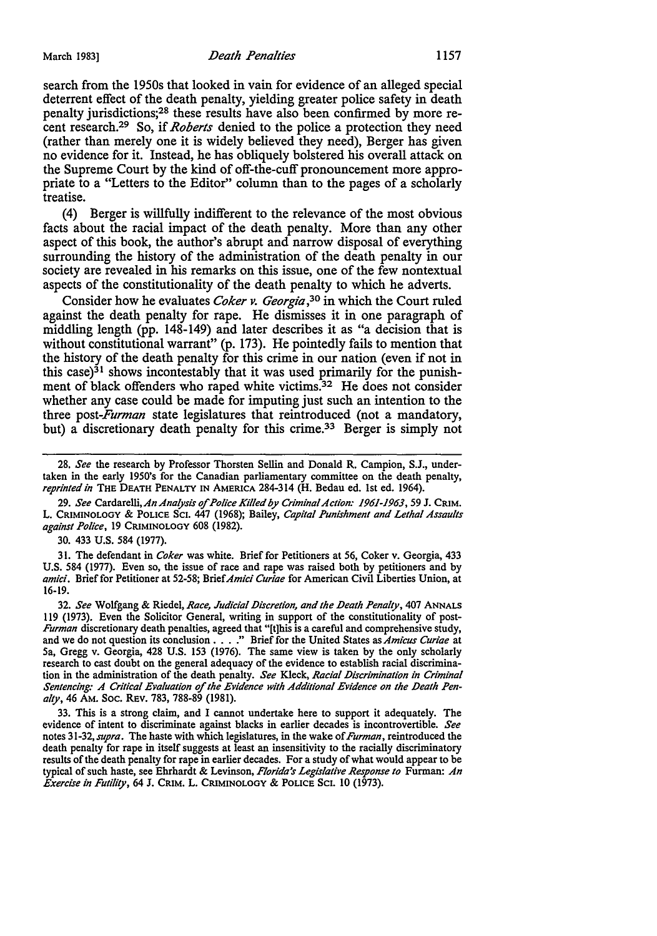search from the 1950s that looked in vain for evidence of an alleged special deterrent effect of the death penalty, yielding greater police safety in death penalty jurisdictions;28 these results have also been confirmed by more recent research.29 So, if *Roberts* denied to the police a protection they need (rather than merely one it is widely believed they need), Berger has given no evidence for it. Instead, he has obliquely bolstered his overall attack on the Supreme Court by the kind of off-the-cuff pronouncement more appropriate to a "Letters to the Editor" column than to the pages of a scholarly treatise.

(4) Berger is willfully indifferent to the relevance of the most obvious facts about the racial impact of the death penalty. More than any other aspect of this book, the author's abrupt and narrow disposal of everything surrounding the history of the administration of the death penalty in our society are revealed in his remarks on this issue, one of the few nontextual aspects of the constitutionality of the death penalty to which he adverts.

Consider how he evaluates *Coker v. Georgia,30* in which the Court ruled against the death penalty for rape. He dismisses it in one paragraph of middling length (pp. 148-149) and later describes it as "a decision that is without constitutional warrant" (p. 173). He pointedly fails to mention that the history of the death penalty for this crime in our nation ( even if not in this case) $31$  shows incontestably that it was used primarily for the punishment of black offenders who raped white victims.<sup>32</sup> He does not consider whether any case could be made for imputing just such an intention to the three *post-Furman* state legislatures that reintroduced (not a mandatory, but) a discretionary death penalty for this crime.<sup>33</sup> Berger is simply not

28. *See* the research by Professor Thorsten Sellin and Donald **R.** Campion, **S.J.,** undertaken in the early 1950's for the Canadian parliamentary committee on the death penalty, *reprinted in* THE DEATH PENALTY IN AMERICA 284-314 (H. Bedau ed. Isl ed. 1964).

29. *See* Cardarelli,An *Analysis* of *Police Killed* by *Criminal Action: 1961-1963,* 59 J. CRIM. L. CRIMINOLOGY & POLICE Sc1. 447 (1968); Bailey, *Capital Punishment and Lethal Assaults against Police,* 19 CRIMINOLOGY 608 (1982).

30. 433 U.S. 584 (1977).

31. The defendant in *Coker* was white. Brief for Petitioners at 56, Coker v. Georgia, 433 U.S. 584 (1977). Even so, the issue of race and rape was raised both by petitioners and by *amici.* Brief for Petitioner at 52-58; Brief *Amici Curiae* for American Civil Liberties Union, at **16-19.** 

32. *See* Wolfgang & Riedel, *Race, Judicial Discretion, and the Death Penalty,* 407 ANNALS 119 (1973). Even the Solicitor General, writing in support of the constitutionality of post-*Furman* discretionary death penalties, agreed that "[t]his is a careful and comprehensive study, and we do not question its conclusion . . . ." Brief for the United States as *Amicus Curiae* at Sa, Gregg v. Georgia, 428 U.S. 153 (1976). The same view is taken by the only scholarly research to cast doubt on the general adequacy of the evidence to establish racial discrimination in the administration of the death penalty. *See* Kleck, *Racial Discrimination in Criminal Sentencing: A Critical Evaluation* of *the Evidence with Additional Evidence on the Death Penalty,* 46 AM. Soc. REV. 783, 788-89 (1981).

33. This is a strong claim, and I cannot undertake here to support it adequately. The evidence of intent to discriminate against blacks in earlier decades is incontrovertible. *See*  notes 31-32, *supra.* The haste with which legislatures, in the wake of *Furman,* reintroduced the death penalty for rape in itself suggests at least an insensitivity to the racially discriminatory results of the death penalty for rape in earlier decades. For a study of what would appear to be typical of such haste, see Ehrhardt & Levinson, *Florida's Legislative Response to* Furman: *An Exercise in Futility,* 64 J. CRIM. L. CRIMINOLOGY & POLICE SCI. IO (1973).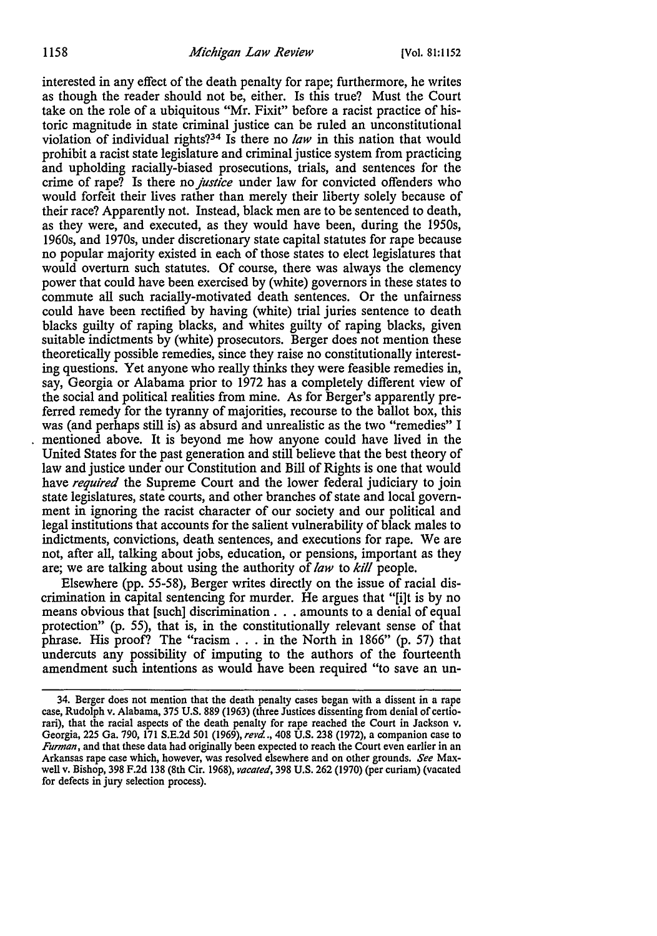interested in any effect of the death penalty for rape; furthermore, he writes as though the reader should not be, either. Is this true? Must the Court take on the role of a ubiquitous "Mr. Fixit" before a racist practice of historic magnitude in state criminal justice can be ruled an unconstitutional violation of individual rights?34 Is there no *law* in this nation that would prohibit a racist state legislature and criminal justice system from practicing and upholding racially-biased prosecutions, trials, and sentences for the crime of rape? Is there no *justice* under law for convicted offenders who would forfeit their lives rather than merely their liberty solely because of their race? Apparently not. Instead, black men are to be sentenced to death, as they were, and executed, as they would have been, during the 1950s, 1960s, and 1970s, under discretionary state capital statutes for rape because no popular majority existed in each of those states to elect legislatures that would overturn such statutes. Of course, there was always the clemency power that could have been exercised by (white) governors in these states to commute all such racially-motivated death sentences. Or the unfairness could have been rectified by having (white) trial juries sentence to death blacks guilty of raping blacks, and whites guilty of raping blacks, given suitable indictments by (white) prosecutors. Berger does not mention these theoretically possible remedies, since they raise no constitutionally interesting questions. Yet anyone who really thinks they were feasible remedies in, say, Georgia or Alabama prior to 1972 has a completely different view of the social and political realities from mine. As for Berger's apparently preferred remedy for the tyranny of majorities, recourse to the ballot box, this was (and perhaps still is) as absurd and unrealistic as the two "remedies" I mentioned above. It is beyond me how anyone could have lived in the United States for the past generation and still believe that the best theory of law and justice under our Constitution and Bill of Rights is one that would have *required* the Supreme Court and the lower federal judiciary to join state legislatures, state courts, and other branches of state and local government in ignoring the racist character of our society and our political and legal institutions that accounts for the salient vulnerability of black males to indictments, convictions, death sentences, and executions for rape. We are not, after all, talking about jobs, education, or pensions, important as they are; we are talking about using the authority of *law* to *ki/1* people.

Elsewhere (pp. 55-58), Berger writes directly on the issue of racial discrimination in capital sentencing for murder. He argues that "[i]t is by no means obvious that [such] discrimination ... amounts to a denial of equal protection" (p. 55), that is, in the constitutionally relevant sense of that phrase. His proof? The "racism ... in the North in 1866" (p. 57) that undercuts any possibility of imputing to the authors of the fourteenth amendment such intentions as would have been required "to save an un-

<sup>34.</sup> Berger does not mention that the death penalty cases began with a dissent in a rape case, Rudolph v. Alabama, 375 U.S. 889 (1963) (three Justices dissenting from denial of certiorari), that the racial aspects of the death penalty for rape reached the Court in Jackson v, Georgia, 225 Ga. 790, 171 S.E.2d 501 (1969), *revd.* ., 408 U.S. 238 (1972), a companion case to *Furman,* and that these data had originally been expected to reach the Court even earlier in an Arkansas rape case which, however, was resolved elsewhere and on other grounds. *See* Maxwell v. Bishop, 398 F.2d 138 (8th Cir. 1968), *vacated,* 398 U.S. 262 (1970) (per curiam) (vacated for defects in jury selection process).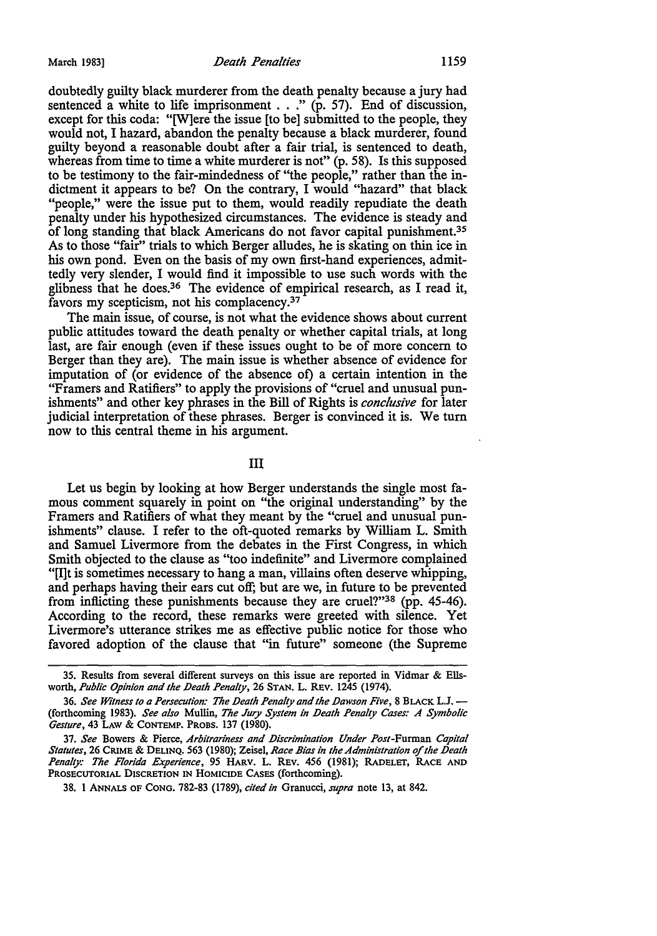doubtedly guilty black murderer from the death penalty because a jury had sentenced a white to life imprisonment  $\ldots$  " (p. 57). End of discussion, except for this coda: "[W]ere the issue [to be] submitted to the people, they would not, I hazard, abandon the penalty because a black murderer, found guilty beyond a reasonable doubt after a fair trial, is sentenced to death, whereas from time to time a white murderer is not" (p. 58). Is this supposed to be testimony to the fair-mindedness of "the people," rather than the indictment it appears to be? On the contrary, I would "hazard" that black "people," were the issue put to them, would readily repudiate the death penalty under his hypothesized circumstances. The evidence is steady and of long standing that black Americans do not favor capital punishment.35 As to those "fair" trials to which Berger alludes, he is skating on thin ice in his own pond. Even on the basis of my own first-hand experiences, admittedly very slender, I would find it impossible to use such words with the glibness that he does.36 The evidence of empirical research, as I read it, favors my scepticism, not his complacency.37

The main issue, of course, is not what the evidence shows about current public attitudes toward the death penalty or whether capital trials, at long last, are fair enough (even if these issues ought to be of more concern to Berger than they are). The main issue is whether absence of evidence for imputation of (or evidence of the absence of) a certain intention in the "Framers and Ratifiers" to apply the provisions of "cruel and unusual punishments" and other key phrases in the Bill of Rights is *conclusive* for later judicial interpretation of these phrases. Berger is convinced it is. We turn now to this central theme in his argument.

#### III

Let us begin by looking at how Berger understands the single most famous comment squarely in point on "the original understanding" by the Framers and Ratifiers of what they meant by the "cruel and unusual punishments" clause. I refer to the oft-quoted remarks by William L. Smith and Samuel Livermore from the debates in the First Congress, in which Smith objected to the clause as "too indefinite" and Livermore complained "[I]t is sometimes necessary to hang a man, villains often deserve whipping, and perhaps having their ears cut off; but are we, in future to be prevented from inflicting these punishments because they are cruel?"38 (pp. 45-46). According to the record, these remarks were greeted with silence. Yet Livermore's utterance strikes me as effective public notice for those who favored adoption of the clause that "in future" someone (the Supreme

38. 1 ANNALS OF CONG. 782-83 (1789), *cited in* Granucci, *supra* note 13, at 842.

<sup>35.</sup> Results from several different surveys on this issue are reported in Vidmar & Ellsworth, *Public Opinion and the Death Penalty,* 26 STAN. L. REV. 1245 (1974).

<sup>36.</sup> *See Witness to a Persecution: The Death Penalty and the Dawson Five,* 8 BLACK L.J. - (forthcoming 1983). *See also* Mullin, *The Jury System in Death Penalty Cases: A Symbolic Gesture,* 43 LAW & CONTEMP. PROBS. 137 (1980).

<sup>37.</sup> *See* Bowers & Pierce, *Arbitrariness and Discrimination Under Post-Furman Capital Statutes,* 26 CRIME & DELINQ. 563 (1980); Zeise!, *Race Bias in the Administration of the Death Penalty: The Florida Experience,* 95 HARV. L. REV. 456 (1981); RADELET, RACE AND PROSECUTORIAL DISCRETION IN HOMICIDE CASES (forthcoming).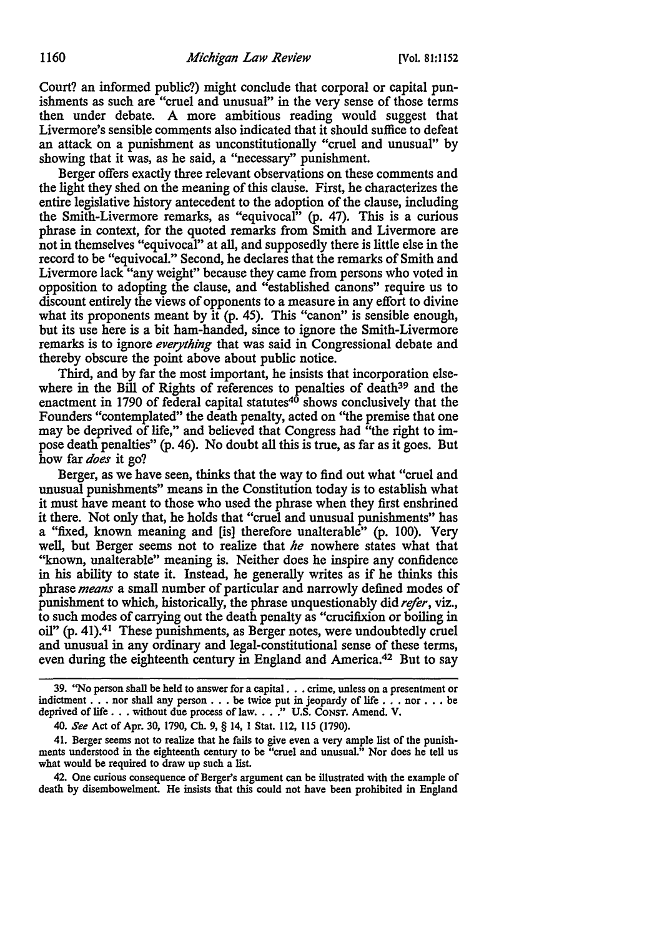Court? an informed public?) might conclude that corporal or capital punishments as such are "cruel and unusual" in the very sense of those terms then under debate. A more ambitious reading would suggest that Livermore's sensible comments also indicated that it should suffice to defeat an attack on a punishment as unconstitutionally "cruel and unusual" by showing that it was, as he said, a "necessary" punishment.

Berger offers exactly three relevant observations on these comments and the light they shed on the meaning of this clause. First, he characterizes the entire legislative history antecedent to the adoption of the clause, including the Smith-Livermore remarks, as "equivocal" (p. 47). This is a curious phrase in context, for the quoted remarks from Smith and Livermore are not in themselves "equivocal" at all, and supposedly there is little else in the record to be "equivocal." Second, he declares that the remarks of Smith and Livermore lack "any weight" because they came from persons who voted in opposition to adopting the clause, and "established canons" require us to discount entirely the views of opponents to a measure in any effort to divine what its proponents meant by it (p. 45). This "canon" is sensible enough, but its use here is a bit ham-handed, since to ignore the Smith-Livermore remarks is to ignore *everything* that was said in Congressional debate and thereby obscure the point above about public notice.

Third, and by far the most important, he insists that incorporation elsewhere in the Bill of Rights of references to penalties of death<sup>39</sup> and the enactment in 1790 of federal capital statutes<sup>40</sup> shows conclusively that the Founders "contemplated" the death penalty, acted on "the premise that one may be deprived of life," and believed that Congress had "the right to impose death penalties" (p. 46). No doubt all this is true, as far as it goes. But how far *does* it go?

Berger, as we have seen, thinks that the way to find out what "cruel and unusual punishments" means in the Constitution today is to establish what it must have meant to those who used the phrase when they first enshrined it there. Not only that, he holds that "cruel and unusual punishments" has a "fixed, known meaning and [is] therefore unalterable" (p. 100). Very well, but Berger seems not to realize that *he* nowhere states what that "known, unalterable" meaning is. Neither does he inspire any confidence in his ability to state it. Instead, he generally writes as if he thinks this phrase *means* a small number of particular and narrowly defined modes of punishment to which, historically, the phrase unquestionably did *refer,* viz., to such modes of carrying out the death penalty as "crucifixion or boiling in oil" (p. 41).41 These punishments, as Berger notes, were undoubtedly cruel and unusual in any ordinary and legal-constitutional sense of these terms, even during the eighteenth century in England and America.42 But to say

42. One curious consequence of Berger's argument can be illustrated with the example of death by disembowelment. He insists that this could not have been prohibited in England

<sup>39. &</sup>quot;No person shall be held to answer for a capital ... crime, unless on a presentment or indictment . . . nor shall any person . . . be twice put in jeopardy of life . . . nor . . • be deprived of life . . . without due process of law. . . . " U.S. CONST. Amend. V.

<sup>40.</sup> *See* Act of Apr. 30, 1790, Ch. 9, § 14, I Stat. 112, 115 (1790).

<sup>41.</sup> Berger seems not to realize that he fails to give even a very ample list of the punishments understood in the eighteenth century to be "cruel and unusual." Nor does he tell us what would be required to draw up such a list.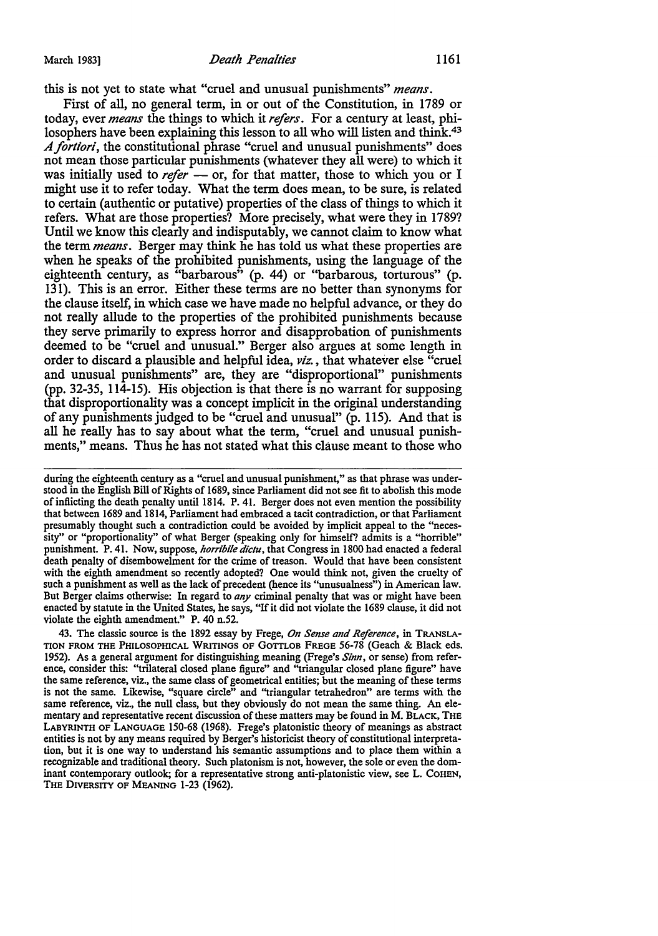this is not yet to state what "cruel and unusual punishments" *means.* 

First of all, no general term, in or out of the Constitution, in 1789 or today, ever *means* the things to which it *refers.* For a century at least, philosophers have been explaining this lesson to all who will listen and think.<sup>43</sup> *A fortiori,* the constitutional phrase "cruel and unusual punishments" does not mean those particular punishments (whatever they all were) to which it was initially used to *refer* - or, for that matter, those to which you or I might use it to refer today. What the term does mean, to be sure, is related to certain (authentic or putative) properties of the class of things to which it refers. What are those properties? More precisely, what were they in 1789? Until we know this clearly and indisputably, we cannot claim to know what the term *means.* Berger may think he has told us what these properties are when he speaks of the prohibited punishments, using the language of the eighteenth century, as "barbarous" (p. 44) or "barbarous, torturous" (p. 131). This is an error. Either these terms are no better than synonyms for the clause itself, in which case we have made no helpful advance, or they do not really allude to the properties of the prohibited punishments because they serve primarily to express horror and disapprobation of punishments deemed to be "cruel and unusual." Berger also argues at some length in order to discard a plausible and helpful idea, *viz.* , that whatever else "cruel and unusual punishments" are, they are "disproportional" punishments (pp. 32-35, 114-15). His objection is that there is no warrant for supposing that disproportionality was a concept implicit in the original understanding of any punishments judged to be "cruel and unusual" (p. 115). And that is all he really has to say about what the term, "cruel and unusual punishments," means. Thus he has not stated what this clause meant to those who

during the eighteenth century as a "cruel and unusual punishment," as that phrase was understood in the English Bill of Rights of 1689, since Parliament did not see fit to abolish this mode of inflicting the death penalty until 1814. P. 41. Berger does not even mention the possibility that between 1689 and 1814, Parliament had embraced a tacit contradiction, or that Parliament presumably thought such a contradiction could be avoided by implicit appeal to the "necessity" or "proportionality" of what Berger (speaking only for himself? admits is a "horrible" punishment. P. 41. Now, suppose, *horribile diclu,* that Congress in 1800 had enacted a federal death penalty of disembowelment for the crime of treason. Would that have been consistent with the eighth amendment so recently adopted? One would think not, given the cruelty of such a punishment as well as the lack of precedent (hence its "unusualness") in American law. But Berger claims otherwise: In regard to *any* criminal penalty that was or might have been enacted by statute in the United States, he says, "If it did not violate the 1689 clause, it did not violate the eighth amendment." P. 40 n.52.

43. The classic source is the 1892 essay by Frege, *On Sense and Reference,* in TRANSLA-TION FROM THE PHILOSOPHICAL WRITINGS OF GOTTLOB FREGE 56-78 (Geach & Black eds. 1952). As a general argument for distinguishing meaning (Frege's *Sinn,* or sense) from reference, consider this: "trilateral closed plane figure" and "triangular closed plane figure" have the same reference, viz., the same class of geometrical entities; but the meaning of these terms is not the same. Likewise, "square circle" and "triangular tetrahedron" are terms with the same reference, viz., the null class, but they obviously do not mean the same thing. An elementary and representative recent discussion of these matters may be found in M. BLACK, THE LABYRINTH OF LANGUAGE 150-68 (1968). Frege's platonistic theory of meanings as abstract entities is not by any means required by Berger's historicist theory of constitutional interpretation, but it is one way to understand his semantic assumptions and to place them within a recognizable and traditional theory. Such platonism is not, however, the sole or even the dominant contemporary outlook; for a representative strong anti-platonistic view, see L. COHEN, THE DIVERSITY OF MEANING 1-23 (1962).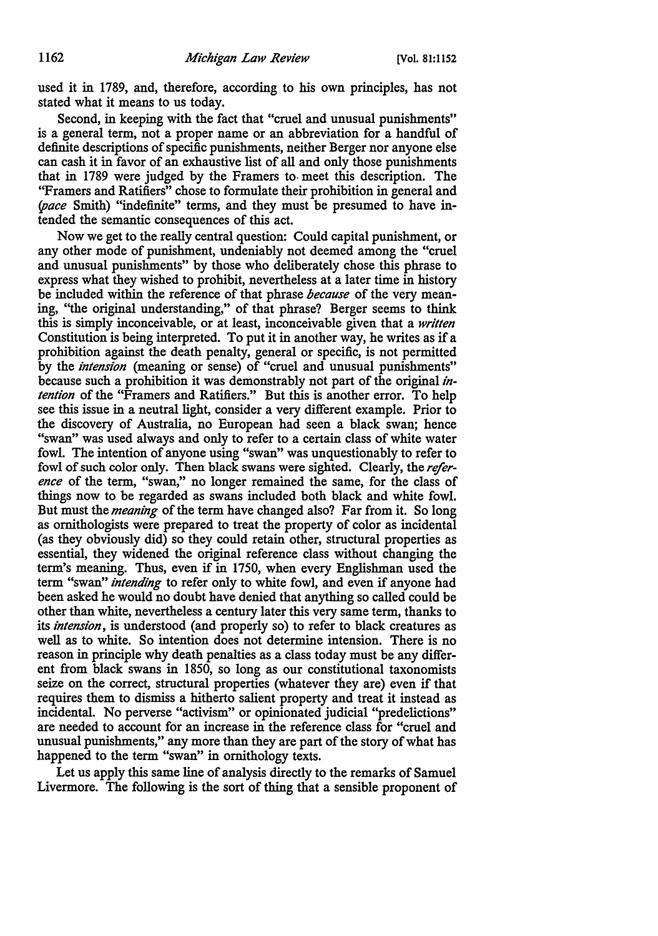used it in 1789, and, therefore, according to his own principles, has not stated what it means to us today.

Second, in keeping with the fact that "cruel and unusual punishments" is a general term, not a proper name or an abbreviation for a handful of definite descriptions of specific punishments, neither Berger nor anyone else can cash it in favor of an exhaustive list of all and only those punishments that in 1789 were judged by the Framers to. meet this description. The "Framers and Ratifiers" chose to formulate their prohibition in general and *(pace* Smith) "indefinite" terms, and they must be presumed to have intended the semantic consequences of this act.

Now we get to the really central question: Could capital punishment, or any other mode of punishment, undeniably not deemed among the "cruel and unusual punishments" by those who deliberately chose this phrase to express what they wished to prohibit, nevertheless at a later time in history be included within the reference of that phrase *because* of the very meaning, "the original understanding," of that phrase? Berger seems to think this is simply inconceivable, or at least, inconceivable given that a *written*  Constitution is being interpreted. To put it in another way, he writes as if a prohibition against the death penalty, general or specific, is not permitted by the *intension* (meaning or sense) of "cruel and unusual punishments" because such a prohibition it was demonstrably not part of the original *intention* of the "Framers and Ratifiers." But this is another error. To help see this issue in a neutral light, consider a very different example. Prior to the discovery of Australia, no European had seen a black swan; hence "swan" was used always and only to refer to a certain class of white water fowl. The intention of anyone using "swan" was unquestionably to refer to fowl of such color only. Then black swans were sighted. Clearly, the *reference* of the term, "swan," no longer remained the same, for the class of things now to be regarded as swans included both black and white fowl. But must the *meaning* of the term have changed also? Far from it. So long as ornithologists were prepared to treat the property of color as incidental (as they obviously did) so they could retain other, structural properties as essential, they widened the original reference class without changing the term's meaning. Thus, even if in 1750, when every Englishman used the term "swan" *intending* to refer only to white fowl, and even if anyone had been asked he would no doubt have denied that anything so called could be other than white, nevertheless a century later this very same term, thanks to its *intension,* is understood (and properly so) to refer to black creatures as well as to white. So intention does not determine intension. There is no reason in principle why death penalties as a class today must be any different from black swans in 1850, so long as our constitutional taxonomists seize on the correct, structural properties (whatever they are) even if that requires them to dismiss a hitherto salient property and treat it instead as incidental. No perverse "activism" or opinionated judicial "predelictions" are needed to account for an increase in the reference class for "cruel and unusual punishments," any more than they are part of the story of what has happened to the term "swan" in ornithology texts.

Let us apply this same line of analysis directly to the remarks of Samuel Livermore. The following is the sort of thing that a sensible proponent of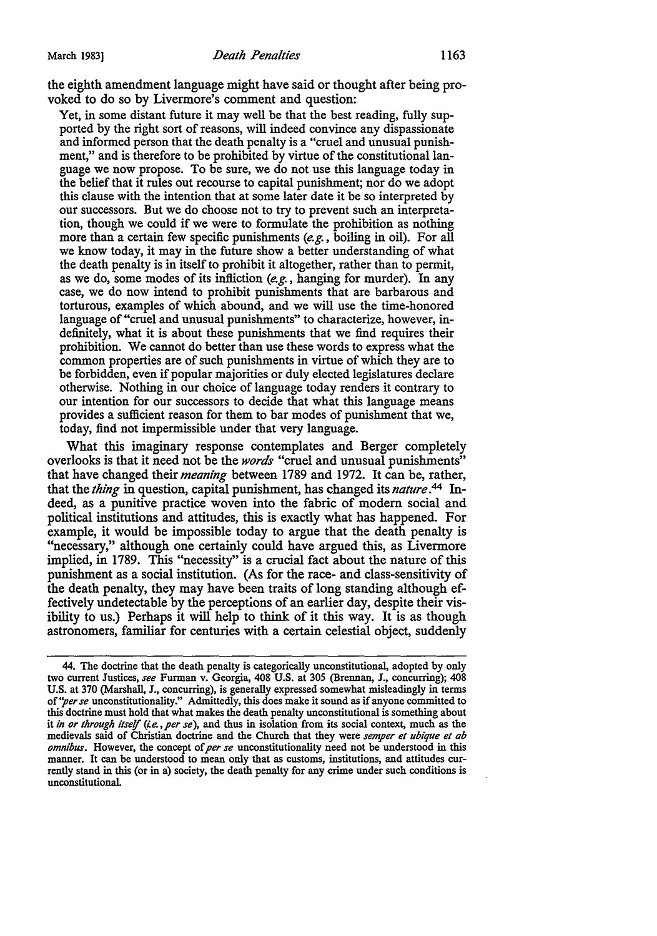the eighth amendment language might have said or thought after being provoked to do so by Livermore's comment and question:

Yet, in some distant future it may well be that the best reading, fully supported by the right sort of reasons, will indeed convince any dispassionate and informed person that the death penalty is a "cruel and unusual punishment," and is therefore to be prohibited by virtue of the constitutional language we now propose. To be sure, we do not use this language today in the belief that it rules out recourse to capital punishment; nor do we adopt this clause with the intention that at some later date it be so interpreted by our successors. But we do choose not to try to prevent such an interpretation, though we could if we were to formulate the prohibition as nothing more than a certain few specific punishments (e.g., boiling in oil). For all we know today, it may in the future show a better understanding of what the death penalty is in itself to prohibit it altogether, rather than to permit, as we do, some modes of its infliction  $(e.g.,)$  hanging for murder). In any case, we do now intend to prohibit punishments that are barbarous and torturous, examples of which abound, and we will use the time-honored language of "cruel and unusual punishments" to characterize, however, indefinitely, what it is about these punishments that we find requires their prohibition. We cannot do better than use these words to express what the common properties are of such punishments in virtue of which they are to be forbidden, even if popular majorities or duly elected legislatures declare otherwise. Nothing in our choice of language today renders it contrary to our intention for our successors to decide that what this language means provides a sufficient reason for them to bar modes of punishment that we, today, find not impermissible under that very language.

What this imaginary response contemplates and Berger completely overlooks is that it need not be the *words* "cruel and unusual punishments" that have changed their *meaning* between 1789 and 1972. It can be, rather, that the *thing* in question, capital punishment, has changed its *nature* . 44 Indeed, as a punitive practice woven into the fabric of modem social and political institutions and attitudes, this is exactly what has happened. For example, it would be impossible today to argue that the death penalty is "necessary," although one certainly could have argued this, as Livermore implied, in 1789. This "necessity" is a crucial fact about the nature of this punishment as a social institution. (As for the race- and class-sensitivity of the death penalty, they may have been traits of long standing although effectively undetectable by the perceptions of an earlier day, despite their visibility to us.) Perhaps it will help to think of it this way. It is as though astronomers, familiar for centuries with a certain celestial object, suddenly

<sup>44.</sup> The doctrine that the death penalty is categorically unconstitutional, adopted by only two current Justices, *see* Furman v. Georgia, 408 U.S. at 305 (Brennan, J., concurring); 408 U.S. at 370 (Marshall, J., concurring), is generally expressed somewhat misleadingly in terms of *"per se* unconstitutionality." Admittedly, this does make it sound as if anyone committed to this doctrine must hold that what makes the death penalty unconstitutional is something about it *in or through itse!f (i.e.,per se),* and thus in isolation from its social context, much as the medievals said of Christian doctrine and the Church that they were *semper et ubique et ab omnibus.* However, the concept of *per se* unconstitutionality need not be understood in this manner. It can be understood to mean only that as customs, institutions, and attitudes currently stand in this (or in a) society, the death penalty for any crime under such conditions is unconstitutional.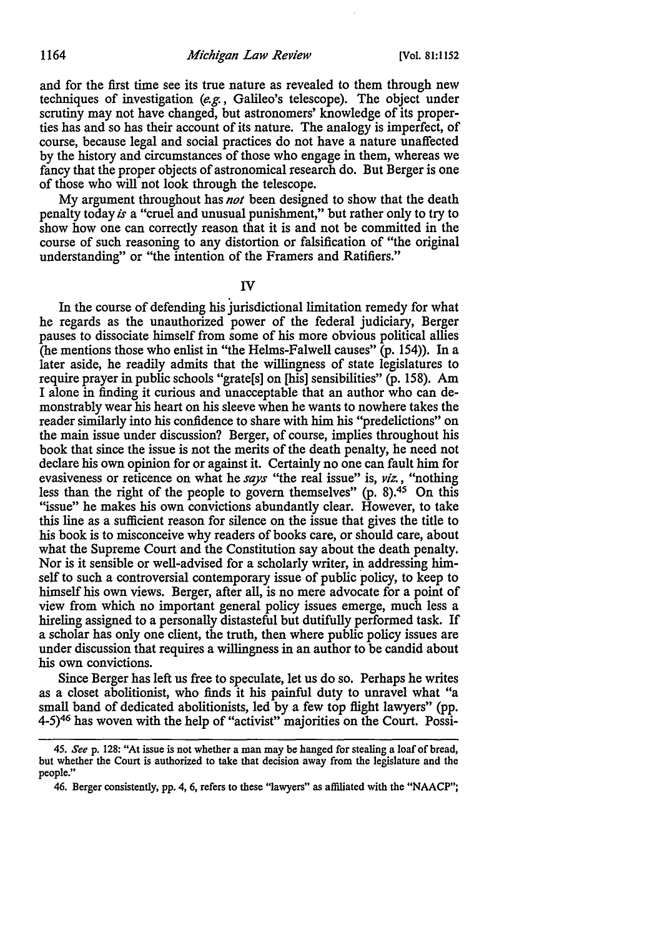and for the first time see its true nature as revealed to them through new techniques of investigation (e.g., Galileo's telescope). The object under scrutiny may not have changed, but astronomers' knowledge of its properties has and so has their account of its nature. The analogy is imperfect, of course, because legal and social practices do not have a nature unaffected by the history and circumstances of those who engage in them, whereas we fancy that the proper objects of astronomical research do. But Berger is one of those who will not look through the telescope.

My argument throughout has *not* been designed to show that the death penalty today *is* a "cruel and unusual punishment," but rather only to try to show how one can correctly reason that it is and not be committed in the course of such reasoning to any distortion or falsification of "the original understanding" or "the intention of the Framers and Ratifiers."

IV

In the course of defending his jurisdictional limitation remedy for what he regards as the unauthorized power of the federal judiciary, Berger pauses to dissociate himself from some of his more obvious political allies (he mentions those who enlist in "the Helms-Falwell causes" (p. 154)). In a later aside, he readily admits that the willingness of state legislatures to require prayer in public schools "grate[s] on [his] sensibilities" (p. 158). Am I alone in finding it curious and unacceptable that an author who can demonstrably wear his heart on his sleeve when he wants to nowhere takes the reader similarly into his confidence to share with him his "predelictions" on the main issue under discussion? Berger, of course, implies throughout his book that since the issue is not the merits of the death penalty, he need not declare his own opinion for or against it. Certainly no one can fault him for evasiveness or reticence on what he *says* "the real issue" is, *viz.* , "nothing less than the right of the people to govern themselves" (p. 8).<sup>45</sup> On this "issue" he makes his own convictions abundantly clear. However, to take this line as a sufficient reason for silence on the issue that gives the title to his book is to misconceive why readers of books care, or should care, about what the Supreme Court and the Constitution say about the death penalty. Nor is it sensible or well-advised for a scholarly writer, in addressing himself to such a controversial contemporary issue of public policy, to keep to himself his own views. Berger, after all, is no mere advocate for a point of view from which no important general policy issues emerge, much less a hireling assigned to a personally distasteful but dutifully performed task. If a scholar has only one client, the truth, then where public policy issues are under discussion that requires a willingness in an author to be candid about his own convictions.

Since Berger has left us free to speculate, let us do so. Perhaps he writes as a closet abolitionist, who finds it his painful duty to unravel what "a small band of dedicated abolitionists, led by a few top flight lawyers" (pp.  $4-5$ <sup>46</sup> has woven with the help of "activist" majorities on the Court. Possi-

<sup>45.</sup> *See* p. 128: "At issue is not whether a man may be hanged for stealing a loaf of bread, but whether the Court is authorized to take that decision away from the legislature and the people."

<sup>46.</sup> Berger consistently, pp. 4, 6, refers to these "lawyers" as affiliated with the "NAACP";